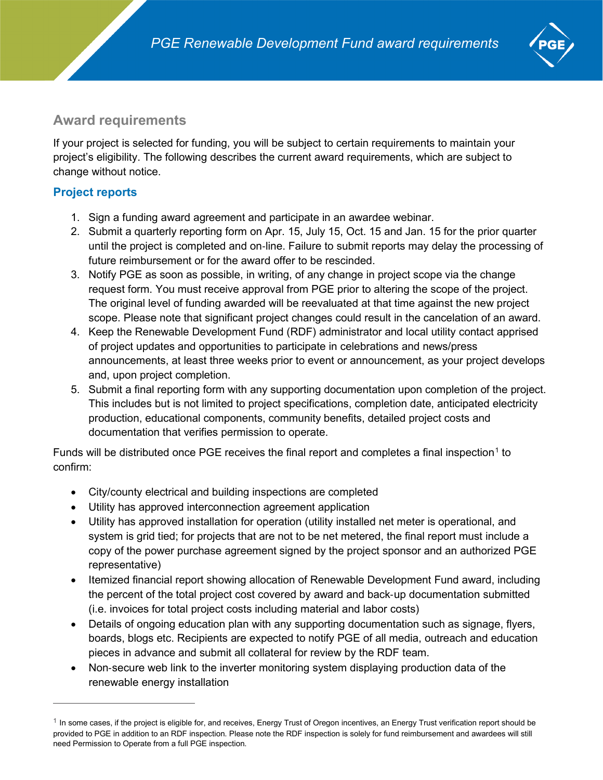

# **Award requirements**

If your project is selected for funding, you will be subject to certain requirements to maintain your project's eligibility. The following describes the current award requirements, which are subject to change without notice.

# **Project reports**

- 1. Sign a funding award agreement and participate in an awardee webinar.
- 2. Submit a quarterly reporting form on Apr. 15, July 15, Oct. 15 and Jan. 15 for the prior quarter until the project is completed and on‐line. Failure to submit reports may delay the processing of future reimbursement or for the award offer to be rescinded.
- 3. Notify PGE as soon as possible, in writing, of any change in project scope via the change request form. You must receive approval from PGE prior to altering the scope of the project. The original level of funding awarded will be reevaluated at that time against the new project scope. Please note that significant project changes could result in the cancelation of an award.
- 4. Keep the Renewable Development Fund (RDF) administrator and local utility contact apprised of project updates and opportunities to participate in celebrations and news/press announcements, at least three weeks prior to event or announcement, as your project develops and, upon project completion.
- 5. Submit a final reporting form with any supporting documentation upon completion of the project. This includes but is not limited to project specifications, completion date, anticipated electricity production, educational components, community benefits, detailed project costs and documentation that verifies permission to operate.

Funds will be distributed once PGE receives the final report and completes a final inspection<sup>[1](#page-0-0)</sup> to confirm:

- City/county electrical and building inspections are completed
- Utility has approved interconnection agreement application
- Utility has approved installation for operation (utility installed net meter is operational, and system is grid tied; for projects that are not to be net metered, the final report must include a copy of the power purchase agreement signed by the project sponsor and an authorized PGE representative)
- Itemized financial report showing allocation of Renewable Development Fund award, including the percent of the total project cost covered by award and back‐up documentation submitted (i.e. invoices for total project costs including material and labor costs)
- Details of ongoing education plan with any supporting documentation such as signage, flyers, boards, blogs etc. Recipients are expected to notify PGE of all media, outreach and education pieces in advance and submit all collateral for review by the RDF team.
- Non-secure web link to the inverter monitoring system displaying production data of the renewable energy installation

<span id="page-0-0"></span> $1$  In some cases, if the project is eligible for, and receives, Energy Trust of Oregon incentives, an Energy Trust verification report should be provided to PGE in addition to an RDF inspection. Please note the RDF inspection is solely for fund reimbursement and awardees will still need Permission to Operate from a full PGE inspection.